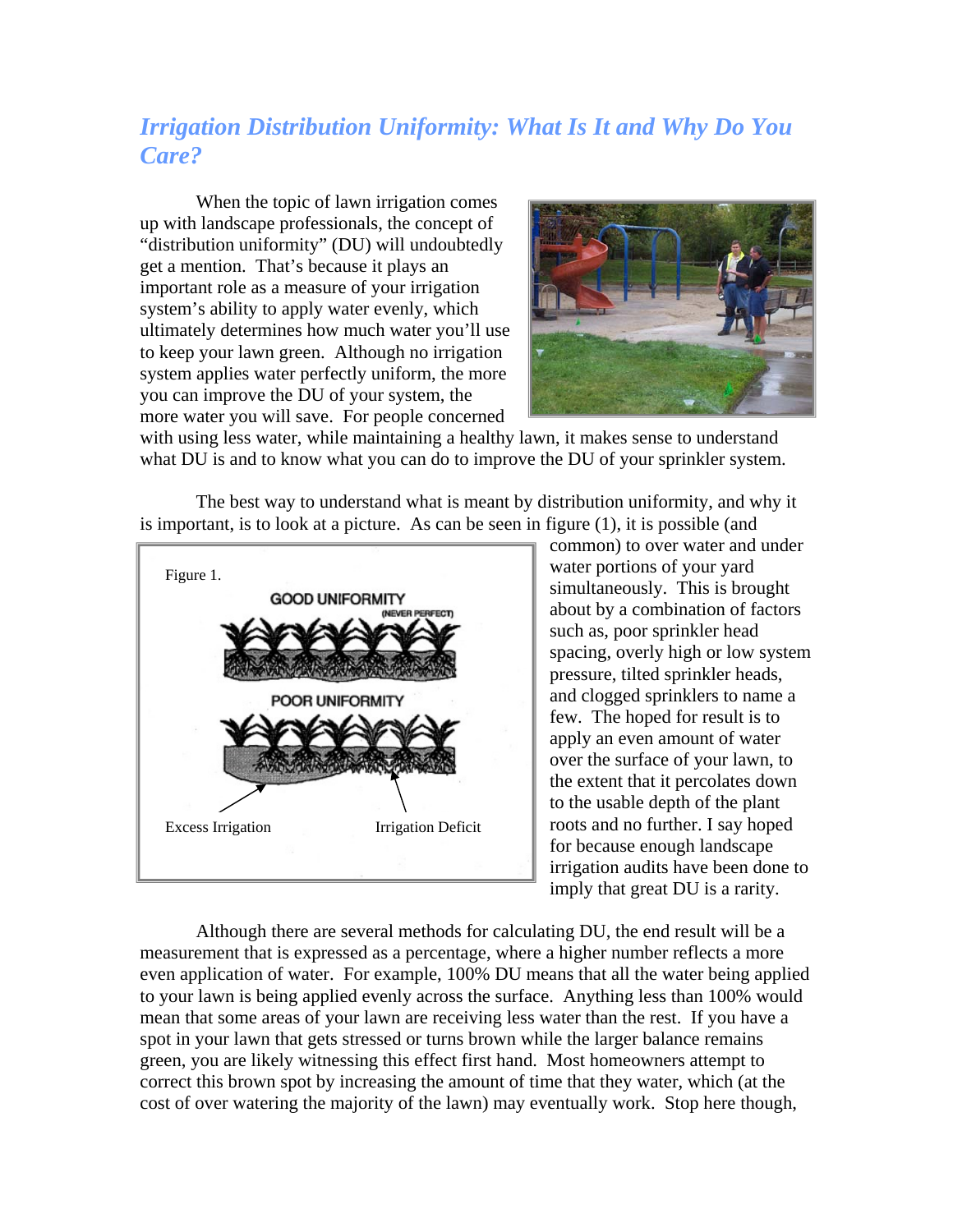## *Irrigation Distribution Uniformity: What Is It and Why Do You Care?*

When the topic of lawn irrigation comes up with landscape professionals, the concept of "distribution uniformity" (DU) will undoubtedly get a mention. That's because it plays an important role as a measure of your irrigation system's ability to apply water evenly, which ultimately determines how much water you'll use to keep your lawn green. Although no irrigation system applies water perfectly uniform, the more you can improve the DU of your system, the more water you will save. For people concerned



with using less water, while maintaining a healthy lawn, it makes sense to understand what DU is and to know what you can do to improve the DU of your sprinkler system.

The best way to understand what is meant by distribution uniformity, and why it is important, is to look at a picture. As can be seen in figure (1), it is possible (and



common) to over water and under water portions of your yard simultaneously. This is brought about by a combination of factors such as, poor sprinkler head spacing, overly high or low system pressure, tilted sprinkler heads, and clogged sprinklers to name a few. The hoped for result is to apply an even amount of water over the surface of your lawn, to the extent that it percolates down to the usable depth of the plant roots and no further. I say hoped for because enough landscape irrigation audits have been done to imply that great DU is a rarity.

Although there are several methods for calculating DU, the end result will be a measurement that is expressed as a percentage, where a higher number reflects a more even application of water. For example, 100% DU means that all the water being applied to your lawn is being applied evenly across the surface. Anything less than 100% would mean that some areas of your lawn are receiving less water than the rest. If you have a spot in your lawn that gets stressed or turns brown while the larger balance remains green, you are likely witnessing this effect first hand. Most homeowners attempt to correct this brown spot by increasing the amount of time that they water, which (at the cost of over watering the majority of the lawn) may eventually work. Stop here though,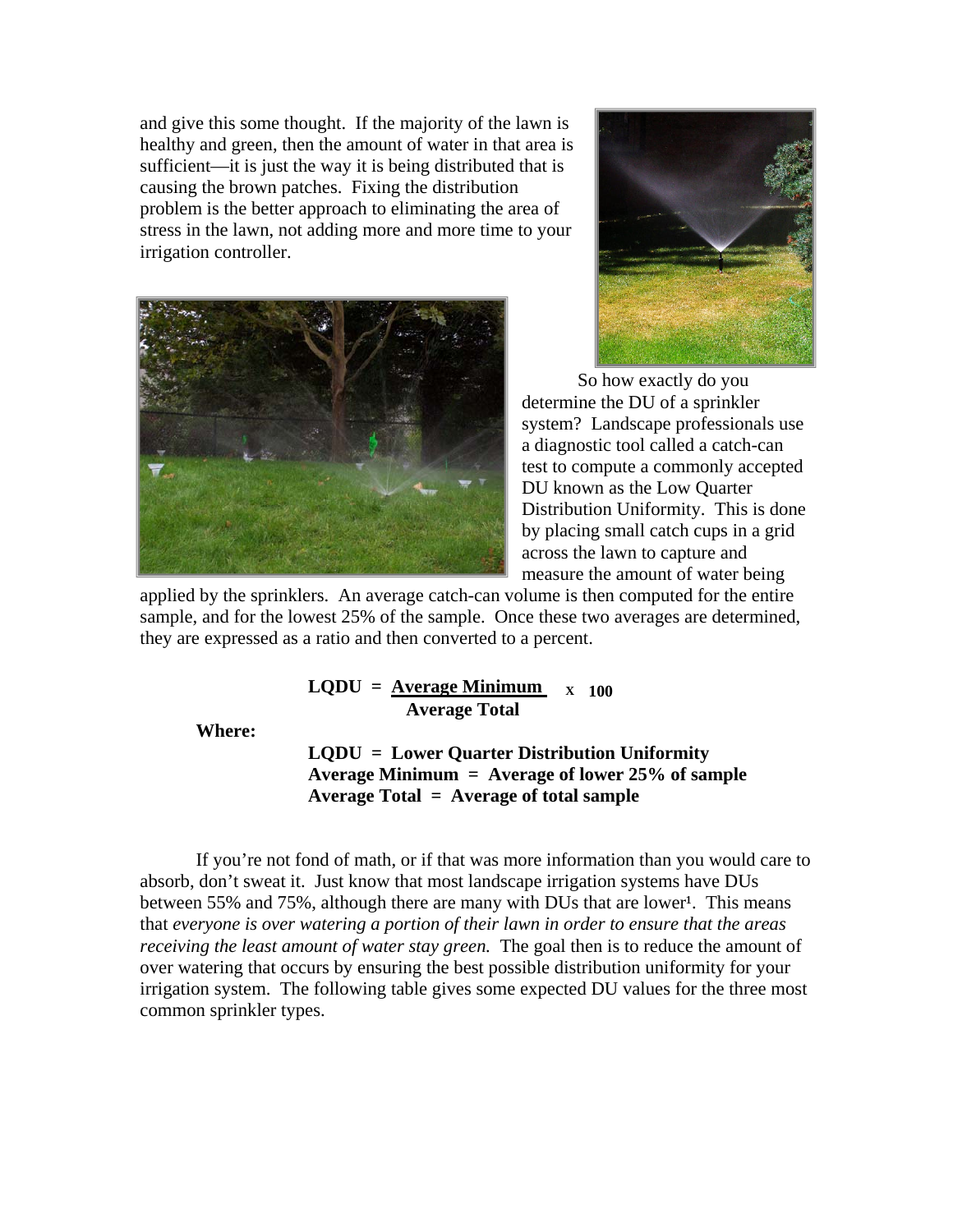and give this some thought. If the majority of the lawn is healthy and green, then the amount of water in that area is sufficient—it is just the way it is being distributed that is causing the brown patches. Fixing the distribution problem is the better approach to eliminating the area of stress in the lawn, not adding more and more time to your irrigation controller.





So how exactly do you determine the DU of a sprinkler system? Landscape professionals use a diagnostic tool called a catch-can test to compute a commonly accepted DU known as the Low Quarter Distribution Uniformity. This is done by placing small catch cups in a grid across the lawn to capture and measure the amount of water being

applied by the sprinklers. An average catch-can volume is then computed for the entire sample, and for the lowest 25% of the sample. Once these two averages are determined, they are expressed as a ratio and then converted to a percent.

> $LQDU = \underline{Average Minimum} \times 100$  **Average Total**

**Where:** 

**LQDU = Lower Quarter Distribution Uniformity Average Minimum = Average of lower 25% of sample Average Total = Average of total sample**

If you're not fond of math, or if that was more information than you would care to absorb, don't sweat it. Just know that most landscape irrigation systems have DUs between 55% and 75%, although there are many with DUs that are lower<sup>1</sup>. This means that *everyone is over watering a portion of their lawn in order to ensure that the areas receiving the least amount of water stay green.* The goal then is to reduce the amount of over watering that occurs by ensuring the best possible distribution uniformity for your irrigation system. The following table gives some expected DU values for the three most common sprinkler types.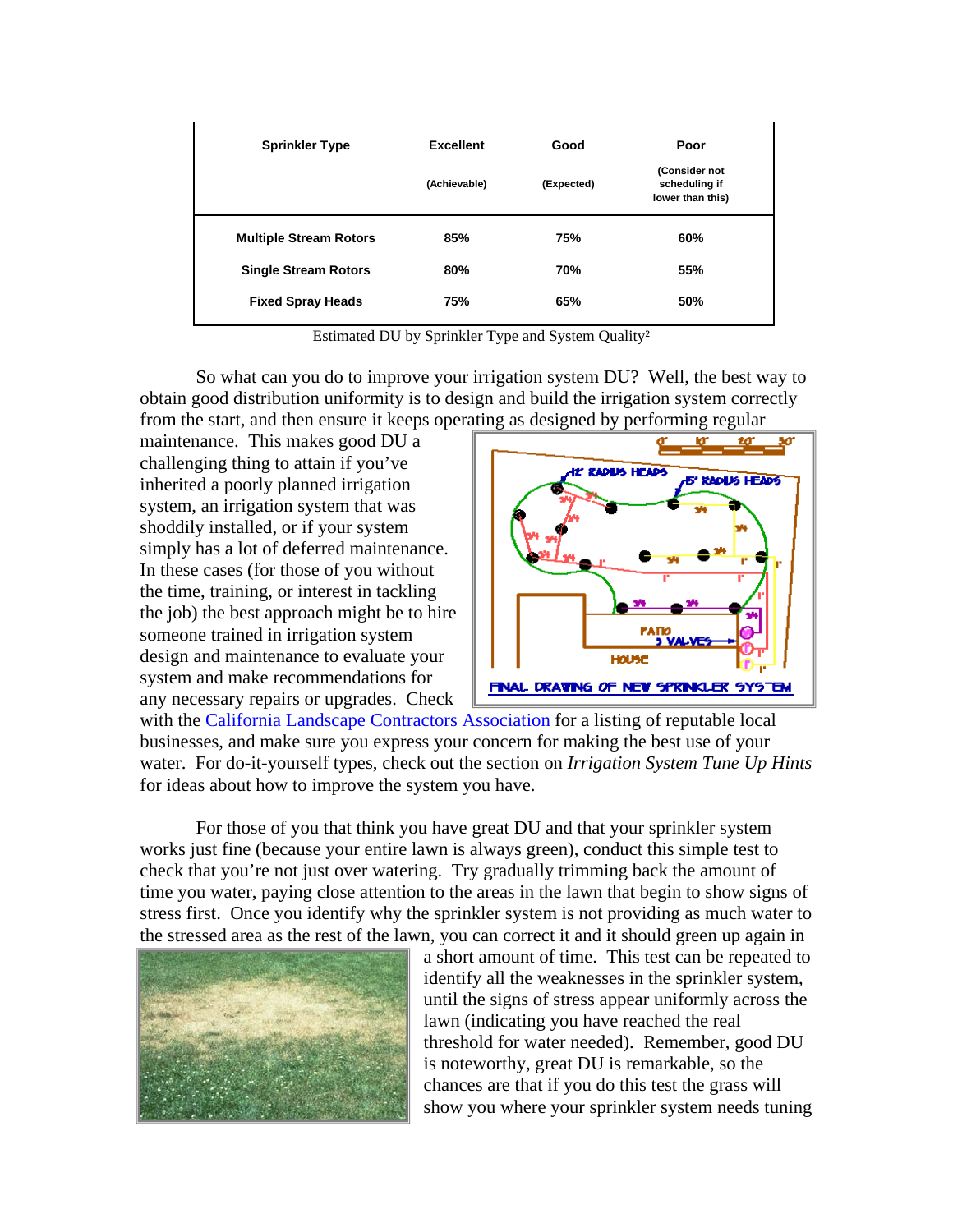| <b>Sprinkler Type</b>         | <b>Excellent</b> | Good       | Poor                                               |
|-------------------------------|------------------|------------|----------------------------------------------------|
|                               | (Achievable)     | (Expected) | (Consider not<br>scheduling if<br>lower than this) |
| <b>Multiple Stream Rotors</b> | 85%              | 75%        | 60%                                                |
| <b>Single Stream Rotors</b>   | 80%              | 70%        | 55%                                                |
| <b>Fixed Spray Heads</b>      | 75%              | 65%        | 50%                                                |

Estimated DU by Sprinkler Type and System Quality²

So what can you do to improve your irrigation system DU? Well, the best way to obtain good distribution uniformity is to design and build the irrigation system correctly from the start, and then ensure it keeps operating as designed by performing regular

maintenance. This makes good DU a challenging thing to attain if you've inherited a poorly planned irrigation system, an irrigation system that was shoddily installed, or if your system simply has a lot of deferred maintenance. In these cases (for those of you without the time, training, or interest in tackling the job) the best approach might be to hire someone trained in irrigation system design and maintenance to evaluate your system and make recommendations for any necessary repairs or upgrades. Check



with the [California Landscape Contractors Association](http://www.clca.org/index.php) for a listing of reputable local businesses, and make sure you express your concern for making the best use of your water. For do-it-yourself types, check out the section on *Irrigation System Tune Up Hints* for ideas about how to improve the system you have.

For those of you that think you have great DU and that your sprinkler system works just fine (because your entire lawn is always green), conduct this simple test to check that you're not just over watering. Try gradually trimming back the amount of time you water, paying close attention to the areas in the lawn that begin to show signs of stress first. Once you identify why the sprinkler system is not providing as much water to the stressed area as the rest of the lawn, you can correct it and it should green up again in



a short amount of time. This test can be repeated to identify all the weaknesses in the sprinkler system, until the signs of stress appear uniformly across the lawn (indicating you have reached the real threshold for water needed). Remember, good DU is noteworthy, great DU is remarkable, so the chances are that if you do this test the grass will show you where your sprinkler system needs tuning